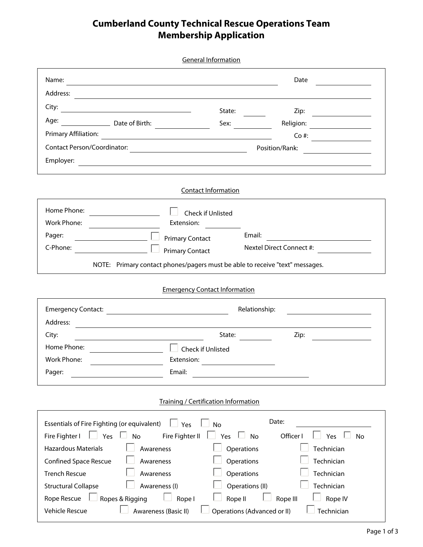## **Cumberland County Technical Rescue Operations Team Membership Application**

|                                                                                                                               | <b>General Information</b>                  |                                                             |  |
|-------------------------------------------------------------------------------------------------------------------------------|---------------------------------------------|-------------------------------------------------------------|--|
| Name:<br><u> 1989 - Andrea Santa Andrea Santa Andrea Santa Andrea Santa Andrea Santa Andrea Santa Andrea Santa Andrea San</u> |                                             | Date                                                        |  |
| Address:                                                                                                                      |                                             |                                                             |  |
| City:                                                                                                                         | State:                                      | Zip:                                                        |  |
| Age: Date of Birth:                                                                                                           | Sex:                                        | Religion:                                                   |  |
| <b>Primary Affiliation:</b>                                                                                                   |                                             | $Co$ #:                                                     |  |
|                                                                                                                               |                                             | Position/Rank:                                              |  |
| Employer:                                                                                                                     |                                             | <u> 1989 - Johann Stoff, Amerikaansk politiker († 1908)</u> |  |
|                                                                                                                               |                                             |                                                             |  |
|                                                                                                                               | <b>Contact Information</b>                  |                                                             |  |
| Home Phone:<br><u> 1990 - Johann Barbara, martin a</u>                                                                        | Check if Unlisted                           |                                                             |  |
| Work Phone:<br>Extension:                                                                                                     |                                             |                                                             |  |
| Pager:<br><b>Primary Contact</b>                                                                                              |                                             | Email:                                                      |  |
| C-Phone:<br><b>Primary Contact</b>                                                                                            |                                             | Nextel Direct Connect #:                                    |  |
| NOTE: Primary contact phones/pagers must be able to receive "text" messages.                                                  |                                             |                                                             |  |
|                                                                                                                               | <b>Emergency Contact Information</b>        |                                                             |  |
| Emergency Contact: National Contract Contract Contract Contract Contract Contract Contract Contract Contract C                |                                             | Relationship:                                               |  |
| Address:                                                                                                                      |                                             |                                                             |  |
| City:                                                                                                                         | State:                                      | Zip:<br><u> 1990 - Jan Alexandria III.</u>                  |  |
| Home Phone:                                                                                                                   | Check if Unlisted                           |                                                             |  |
| Work Phone:<br>Extension:                                                                                                     |                                             |                                                             |  |
| Email:<br>Pager:                                                                                                              |                                             |                                                             |  |
|                                                                                                                               | <b>Training / Certification Information</b> |                                                             |  |
| Essentials of Fire Fighting (or equivalent)                                                                                   |                                             | Date:                                                       |  |
| Yes<br>Fire Fighter II<br>Fire Fighter I<br>Yes<br>No                                                                         | <b>No</b><br>Yes                            | Officer I<br>Yes<br><b>No</b><br>No                         |  |
| <b>Hazardous Materials</b><br>Awareness                                                                                       | Operations                                  | Technician                                                  |  |
| <b>Confined Space Rescue</b><br>Awareness                                                                                     | Operations                                  | Technician                                                  |  |
| <b>Trench Rescue</b><br>Awareness                                                                                             | Operations                                  | Technician                                                  |  |
| <b>Structural Collapse</b><br>Awareness (I)                                                                                   | Operations (II)                             | Technician                                                  |  |
| Rope Rescue<br>Ropes & Rigging<br>Rope I                                                                                      | Rope II                                     | Rope III<br>Rope IV                                         |  |
| Vehicle Rescue<br>Awareness (Basic II)                                                                                        |                                             | Technician<br>Operations (Advanced or II)                   |  |
|                                                                                                                               |                                             |                                                             |  |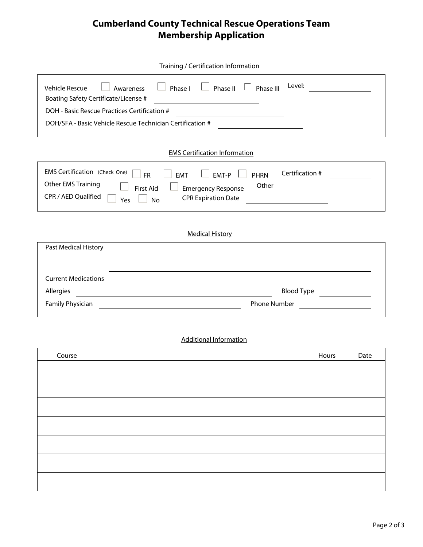## **Cumberland County Technical Rescue Operations Team Membership Application**

| <b>Training / Certification Information</b>                                                                                                                                                                                                                                                    |              |      |  |  |
|------------------------------------------------------------------------------------------------------------------------------------------------------------------------------------------------------------------------------------------------------------------------------------------------|--------------|------|--|--|
| Level:<br><b>Vehicle Rescue</b><br>Phase I<br>Phase II<br>Phase III<br>Awareness<br>Boating Safety Certificate/License #<br><u> 1989 - Johann Barn, mars ann an t-Amhain an t-A</u>                                                                                                            |              |      |  |  |
| DOH - Basic Rescue Practices Certification #                                                                                                                                                                                                                                                   |              |      |  |  |
| DOH/SFA - Basic Vehicle Rescue Technician Certification #                                                                                                                                                                                                                                      |              |      |  |  |
| <b>EMS Certification Information</b>                                                                                                                                                                                                                                                           |              |      |  |  |
| EMS Certification (Check One)<br>Certification #<br>EMT-P<br><b>FR</b><br>EMT<br>$\mathbf{I}$<br><b>PHRN</b><br><b>Other EMS Training</b><br>Other<br><b>First Aid</b><br><b>Emergency Response</b><br>CPR / AED Qualified<br><b>CPR Expiration Date</b><br>$\mathbb{R}^n$<br><b>No</b><br>Yes |              |      |  |  |
| <b>Medical History</b>                                                                                                                                                                                                                                                                         |              |      |  |  |
| Past Medical History                                                                                                                                                                                                                                                                           |              |      |  |  |
|                                                                                                                                                                                                                                                                                                |              |      |  |  |
| <b>Current Medications</b>                                                                                                                                                                                                                                                                     |              |      |  |  |
| <b>Blood Type</b><br>Allergies                                                                                                                                                                                                                                                                 |              |      |  |  |
| <b>Family Physician</b><br><b>Phone Number</b>                                                                                                                                                                                                                                                 |              |      |  |  |
| <b>Additional Information</b>                                                                                                                                                                                                                                                                  |              |      |  |  |
| Course                                                                                                                                                                                                                                                                                         | <b>Hours</b> | Date |  |  |

| Course | Hours | Date |
|--------|-------|------|
|        |       |      |
|        |       |      |
|        |       |      |
|        |       |      |
|        |       |      |
|        |       |      |
|        |       |      |
|        |       |      |
|        |       |      |
|        |       |      |
|        |       |      |
|        |       |      |
|        |       |      |
|        |       |      |